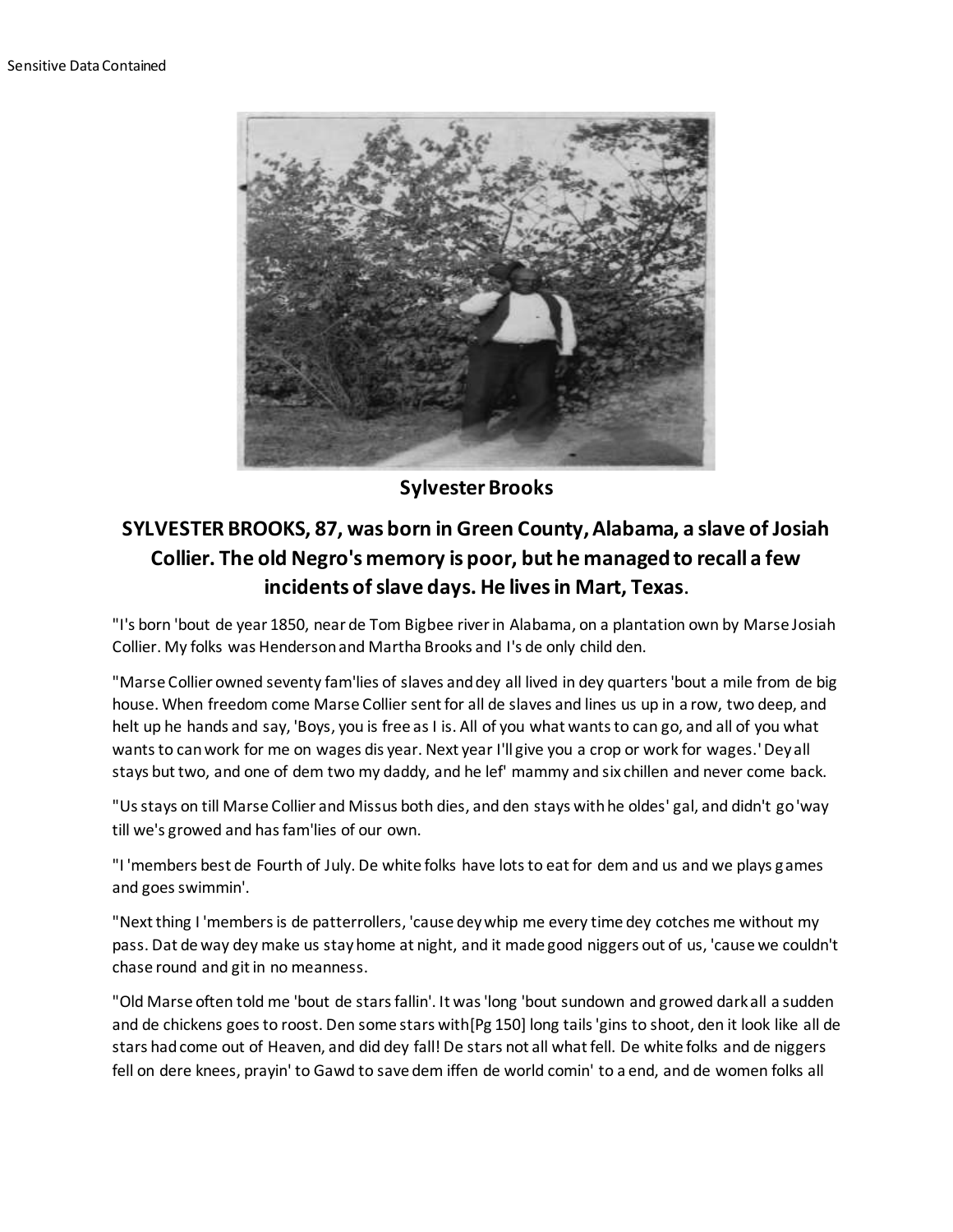

**Sylvester Brooks**

## **SYLVESTER BROOKS, 87, was born in Green County, Alabama, a slave of Josiah Collier. The old Negro's memory is poor, but he managed to recall a few incidents of slave days. He lives in Mart, Texas.**

"I's born 'bout de year 1850, near de Tom Bigbee river in Alabama, on a plantation own by Marse Josiah Collier. My folks was Henderson and Martha Brooks and I's de only child den.

"Marse Collier owned seventy fam'lies of slaves and dey all lived in dey quarters 'bout a mile from de big house. When freedom come Marse Collier sent for all de slaves and lines us up in a row, two deep, and helt up he hands and say, 'Boys, you is free as I is. All of you what wants to can go, and all of you what wants to can work for me on wages dis year. Next year I'll give you a crop or work for wages.' Dey all stays but two, and one of dem two my daddy, and he lef' mammy and six chillen and never come back.

"Us stays on till Marse Collier and Missus both dies, and den stays with he oldes' gal, and didn't go 'way till we's growed and has fam'lies of our own.

"I 'members best de Fourth of July. De white folks have lots to eat for dem and us and we plays games and goes swimmin'.

"Next thing I 'members is de patterrollers, 'cause dey whip me every time dey cotches me without my pass. Dat de way dey make us stay home at night, and it made good niggers out of us, 'cause we couldn't chase round and git in no meanness.

"Old Marse often told me 'bout de stars fallin'. It was 'long 'bout sundown and growed dark all a sudden and de chickens goes to roost. Den some stars with[Pg 150] long tails 'gins to shoot, den it look like all de stars had come out of Heaven, and did dey fall! De stars not all what fell. De white folks and de niggers fell on dere knees, prayin' to Gawd to save dem iffen de world comin' to a end, and de women folks all